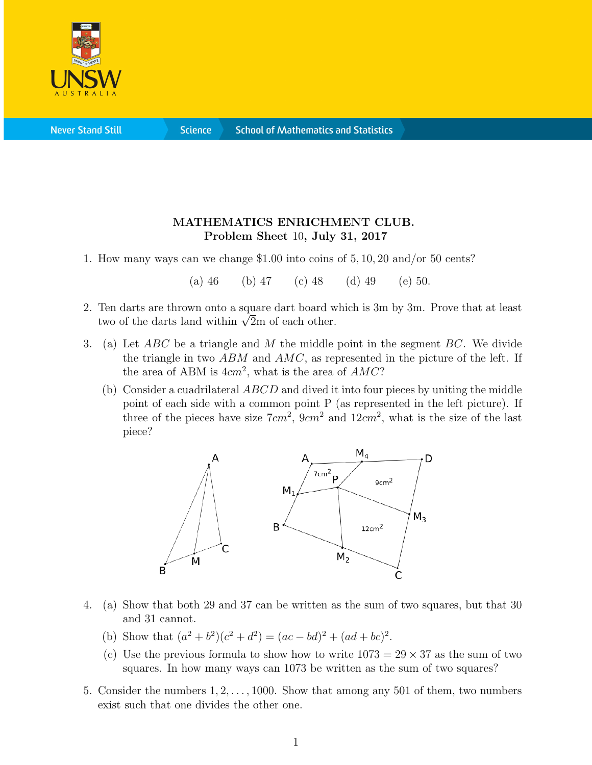

**Science** 

## MATHEMATICS ENRICHMENT CLUB. Problem Sheet 10, July 31, 2017

1. How many ways can we change \$1.00 into coins of 5, 10, 20 and/or 50 cents?

(a) 46 (b) 47 (c) 48 (d) 49 (e) 50.

- 2. Ten darts are thrown onto a square dart board which is 3m by 3m. Prove that at least The darts are thrown onto a square dart board when two of the darts land within  $\sqrt{2m}$  of each other.
- 3. (a) Let  $ABC$  be a triangle and M the middle point in the segment  $BC$ . We divide the triangle in two  $ABM$  and  $AMC$ , as represented in the picture of the left. If the area of ABM is  $4cm^2$ , what is the area of  $AMC$ ?
	- (b) Consider a cuadrilateral  $ABCD$  and dived it into four pieces by uniting the middle point of each side with a common point P (as represented in the left picture). If three of the pieces have size  $7cm^2$ ,  $9cm^2$  and  $12cm^2$ , what is the size of the last piece?



- 4. (a) Show that both 29 and 37 can be written as the sum of two squares, but that 30 and 31 cannot.
	- (b) Show that  $(a^2 + b^2)(c^2 + d^2) = (ac bd)^2 + (ad + bc)^2$ .
	- (c) Use the previous formula to show how to write  $1073 = 29 \times 37$  as the sum of two squares. In how many ways can 1073 be written as the sum of two squares?
- 5. Consider the numbers 1, 2, . . . , 1000. Show that among any 501 of them, two numbers exist such that one divides the other one.